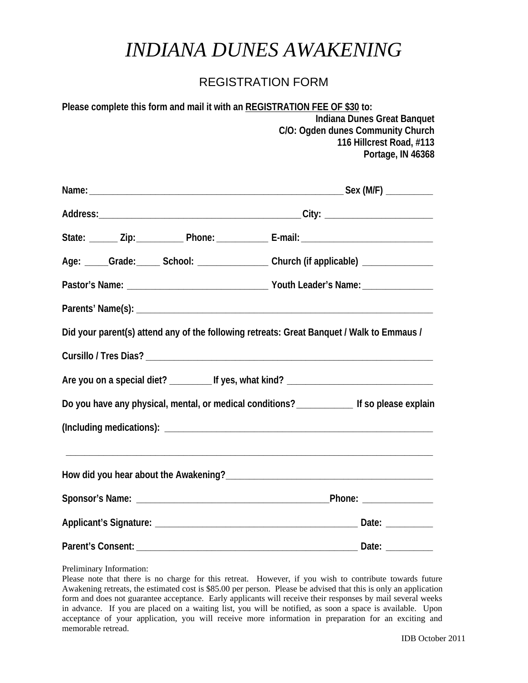## *INDIANA DUNES AWAKENING*

## REGISTRATION FORM

| Please complete this form and mail it with an REGISTRATION FEE OF \$30 to: |                                   |
|----------------------------------------------------------------------------|-----------------------------------|
|                                                                            | Indiana Dunes Great Banquet       |
|                                                                            | C/O: Ogden dunes Community Church |
|                                                                            | 116 Hillcrest Road, #113          |
|                                                                            | Portage, IN 46368                 |

| State: _______ Zip: _____________ Phone: _______________ E-mail: ___________________________________                  |
|-----------------------------------------------------------------------------------------------------------------------|
| Age: ____Grade: _____ School: ________________ Church (if applicable) ___________                                     |
|                                                                                                                       |
|                                                                                                                       |
| Did your parent(s) attend any of the following retreats: Great Banquet / Walk to Emmaus /                             |
|                                                                                                                       |
|                                                                                                                       |
| Do you have any physical, mental, or medical conditions? _____________ If so please explain                           |
|                                                                                                                       |
| <u> 1989 - John Stein, markin samani ya katika mwaka wa 1989 - Amerika mwaka wa 1989 - Amerika mwaka wa 1989 - Am</u> |
|                                                                                                                       |
|                                                                                                                       |
|                                                                                                                       |
|                                                                                                                       |

Preliminary Information:

Please note that there is no charge for this retreat. However, if you wish to contribute towards future Awakening retreats, the estimated cost is \$85.00 per person. Please be advised that this is only an application form and does not guarantee acceptance. Early applicants will receive their responses by mail several weeks in advance. If you are placed on a waiting list, you will be notified, as soon a space is available. Upon acceptance of your application, you will receive more information in preparation for an exciting and memorable retread.